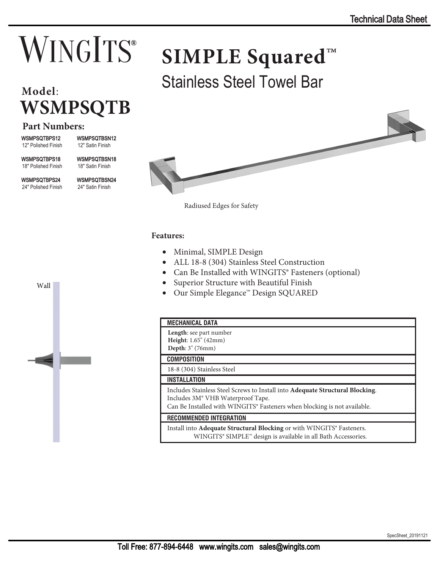# **WINGITS®**

## **WSMPSQTB**

## **Part Numbers:**

WSMPSQTBPS12 12" Polished Finish

12" Satin Finish

WSMPSQTBPS18 18" Polished Finish WSMPSQTBSN18 18" Satin Finish

WSMPSQTBSN12

WSMPSQTBPS24 24" Polished Finish

Wall

WSMPSQTBSN24 24" Satin Finish



Stainless Steel Towel Bar **Model**:



Radiused Edges for Safety

### **Features:**

- Minimal, SIMPLE Design
- ALL 18-8 (304) Stainless Steel Construction
- Can Be Installed with WINGITS® Fasteners (optional)
- Superior Structure with Beautiful Finish
- Our Simple Elegance™ Design SQUARED



### **MECHANICAL DATA**

| Length: see part number<br><b>Height:</b> $1.65$ <sup>"</sup> (42mm)<br>Depth: 3" (76mm)                                                                                                                                       |
|--------------------------------------------------------------------------------------------------------------------------------------------------------------------------------------------------------------------------------|
| <b>COMPOSITION</b>                                                                                                                                                                                                             |
| 18-8 (304) Stainless Steel                                                                                                                                                                                                     |
| <b>INSTALLATION</b>                                                                                                                                                                                                            |
| Includes Stainless Steel Screws to Install into <b>Adequate Structural Blocking</b> .<br>Includes 3M <sup>®</sup> VHB Waterproof Tape.<br>Can Be Installed with WINGITS <sup>®</sup> Fasteners when blocking is not available. |
| <b>RECOMMENDED INTEGRATION</b>                                                                                                                                                                                                 |
| Install into Adequate Structural Blocking or with WINGITS® Fasteners.<br>WINGITS® SIMPLE™ design is available in all Bath Accessories.                                                                                         |